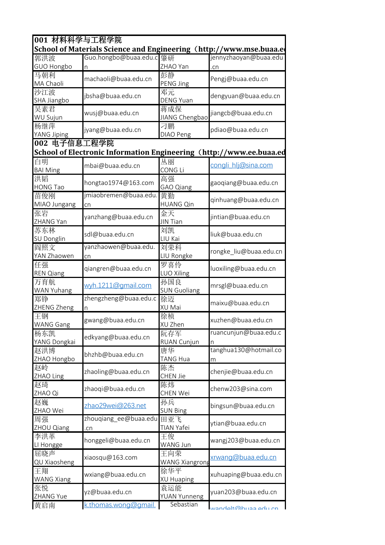| 001 材料科学与工程学院                                                      |                                                                     |                              |                            |  |  |
|--------------------------------------------------------------------|---------------------------------------------------------------------|------------------------------|----------------------------|--|--|
| School of Materials Science and Engineering (http://www.mse.buaa.e |                                                                     |                              |                            |  |  |
| 郭洪波                                                                | Guo.hongbo@buaa.edu.c 肇研                                            |                              | jennyzhaoyan@buaa.edu      |  |  |
| GUO Hongbo                                                         | n                                                                   | ZHAO Yan                     | .cn                        |  |  |
| 马朝利<br>MA Chaoli                                                   | machaoli@buaa.edu.cn                                                | 彭静<br>PENG Jing              | Pengj@buaa.edu.cn          |  |  |
| 沙江波<br>SHA Jiangbo                                                 | jbsha@buaa.edu.cn                                                   | 邓元<br><b>DENG Yuan</b>       | dengyuan@buaa.edu.cn       |  |  |
| 吴素君<br><b>WU Sujun</b>                                             | wusj@buaa.edu.cn                                                    | 蒋成保<br>JIANG Chengbao        | jiangcb@buaa.edu.cn        |  |  |
| 杨继萍<br>YANG Jiping                                                 | jyang@buaa.edu.cn                                                   | 刁鹏<br>DIAO Peng              | pdiao@buaa.edu.cn          |  |  |
| 002 电子信息工程学院                                                       |                                                                     |                              |                            |  |  |
|                                                                    | School of Electronic Information Engineering (http://www.ee.buaa.ed |                              |                            |  |  |
| 白明<br><b>BAI Ming</b>                                              | mbai@buaa.edu.cn                                                    | 丛丽<br>CONG Li                | congli_hlj@sina.com        |  |  |
| 洪韬<br><b>HONG Tao</b>                                              | hongtao1974@163.com                                                 | 高强<br>GAO Qiang              | gaogiang@buaa.edu.cn       |  |  |
| 苗俊刚<br>MIAO Jungang                                                | jmiaobremen@buaa.edu.<br>cn                                         | 黄勤<br><b>HUANG Qin</b>       | qinhuang@buaa.edu.cn       |  |  |
| 张岩<br>ZHANG Yan                                                    | yanzhang@buaa.edu.cn                                                | 金天<br><b>JIN Tian</b>        | jintian@buaa.edu.cn        |  |  |
| 苏东林<br>SU Donglin                                                  | sdl@buaa.edu.cn                                                     | 刘凯<br>LIU Kai                | liuk@buaa.edu.cn           |  |  |
| 阎照文<br>YAN Zhaowen                                                 | yanzhaowen@buaa.edu.<br>cn                                          | 刘荣科<br>LIU Rongke            | rongke_liu@buaa.edu.cn     |  |  |
| 任强<br><b>REN Qiang</b>                                             | qiangren@buaa.edu.cn                                                | 罗喜伶<br>LUO Xiling            | luoxiling@buaa.edu.cn      |  |  |
| 万育航<br>WAN Yuhang                                                  | wyh.1211@gmail.com                                                  | 孙国良<br><b>SUN Guoliang</b>   | mrsgl@buaa.edu.cn          |  |  |
| 郑铮<br>ZHENG Zheng                                                  | zhengzheng@buaa.edu.c<br>n                                          | 徐迈<br>XU Mai                 | maixu@buaa.edu.cn          |  |  |
| 王钢<br><b>WANG Gang</b>                                             | gwang@buaa.edu.cn                                                   | 徐桢<br>XU Zhen                | xuzhen@buaa.edu.cn         |  |  |
| 杨东凯<br>YANG Dongkai                                                | edkyang@buaa.edu.cn                                                 | 阮存军<br><b>RUAN Cunjun</b>    | ruancunjun@buaa.edu.c<br>n |  |  |
| 赵洪博<br>ZHAO Hongbo                                                 | bhzhb@buaa.edu.cn                                                   | 唐华<br><b>TANG Hua</b>        | tanghua130@hotmail.co<br>m |  |  |
| 赵岭<br>ZHAO Ling                                                    | zhaoling@buaa.edu.cn                                                | 陈杰<br>CHEN Jie               | chenjie@buaa.edu.cn        |  |  |
| 赵琦<br>ZHAO Qi                                                      | zhaoqi@buaa.edu.cn                                                  | 陈炜<br><b>CHEN Wei</b>        | chenw203@sina.com          |  |  |
| 赵巍<br>ZHAO Wei                                                     | zhao29wei@263.net                                                   | 孙兵<br><b>SUN Bing</b>        | bingsun@buaa.edu.cn        |  |  |
| 周强<br>ZHOU Qiang                                                   | zhouqiang_ee@buaa.edu 田亚飞<br>.cn                                    | TIAN Yafei                   | ytian@buaa.edu.cn          |  |  |
| 李洪革<br>LI Hongge                                                   | honggeli@buaa.edu.cn                                                | 王俊<br>WANG Jun               | wangj203@buaa.edu.cn       |  |  |
| 屈晓声<br>QU Xiaosheng                                                | xiaosqu@163.com                                                     | 王向荣<br><b>WANG Xiangrong</b> | xrwang@buaa.edu.cn         |  |  |
| 王翔<br><b>WANG Xiang</b>                                            | wxiang@buaa.edu.cn                                                  | 徐华平<br><b>XU Huaping</b>     | xuhuaping@buaa.edu.cn      |  |  |
| 张悦<br>ZHANG Yue                                                    | yz@buaa.edu.cn                                                      | 袁运能<br>YUAN Yunneng          | yuan203@buaa.edu.cn        |  |  |
| 黄启南                                                                | k.thomas.wong@gmail.                                                | Sebastian                    | un uha ceudmhlaharum       |  |  |
|                                                                    |                                                                     |                              |                            |  |  |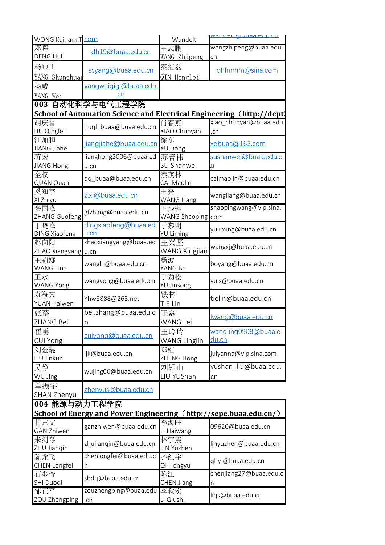| <b>WONG Kainam T</b> COM |                                                                       | Wandelt             | valiucitiwuudd.cuu.ull |
|--------------------------|-----------------------------------------------------------------------|---------------------|------------------------|
| 邓晖                       | dh19@buaa.edu.cn                                                      | 王志鹏                 | wangzhipeng@buaa.edu   |
| <b>DENG Hui</b>          |                                                                       | WANG Zhipeng        | cn                     |
| 杨顺川                      | scyang@buaa.edu.cn                                                    | 秦红磊                 | qhlmmm@sina.com        |
| YANG Shunchuar           |                                                                       | QIN Honglei         |                        |
| 杨威                       | yangweigigi@buaa.edu.                                                 |                     |                        |
| YANG Wei                 | <u>cn</u>                                                             |                     |                        |
|                          | 003 自动化科学与电气工程学院                                                      |                     |                        |
|                          | School of Automation Science and Electrical Engineering (http://dept) |                     |                        |
| 胡庆雷                      |                                                                       | 肖春燕                 | xiao chunyan@buaa.edu  |
| HU Qinglei               | huql_buaa@buaa.edu.cn                                                 | XIAO Chunyan        | .cn                    |
| 江加和<br>JIANG Jiahe       | jiangjiahe@buaa.edu.cn                                                | 徐东<br>XU Dong       | xdbuaa@163.com         |
| 蒋宏                       | jianghong2006@buaa.ed                                                 | 苏善伟                 | sushanwei@buaa.edu.c   |
| <b>JIANG Hong</b>        | u.cn                                                                  | SU Shanwei          | n                      |
| 全权                       |                                                                       | 蔡茂林                 |                        |
| QUAN Quan                | qq_buaa@buaa.edu.cn                                                   | CAI Maolin          | caimaolin@buaa.edu.cn  |
| 奚知宇                      |                                                                       | 王亮                  |                        |
| XI Zhiyu                 | z.xi@buaa.edu.cn                                                      | <b>WANG Liang</b>   | wangliang@buaa.edu.cn  |
| 张国峰                      | gfzhang@buaa.edu.cn                                                   | 王少萍                 | shaopingwang@vip.sina. |
| ZHANG Guofeng            |                                                                       | WANG Shaoping com   |                        |
| 丁晓峰                      | dingxiaofeng@buaa.ed                                                  | 于黎明                 | yuliming@buaa.edu.cn   |
| <b>DING Xiaofeng</b>     | $u$ .cn                                                               | <b>YU Liming</b>    |                        |
| 赵向阳                      | zhaoxiangyang@buaa.ed                                                 | 王兴坚                 | wangxj@buaa.edu.cn     |
| ZHAO Xiangyang u.cn      |                                                                       | WANG Xingjian       |                        |
| 王莉娜                      | wangln@buaa.edu.cn                                                    | 杨波                  | boyang@buaa.edu.cn     |
| <b>WANG Lina</b><br>王永   |                                                                       | YANG Bo<br>于劲松      |                        |
| <b>WANG Yong</b>         | wangyong@buaa.edu.cn                                                  | YU Jinsong          | yujs@buaa.edu.cn       |
| 袁海文                      |                                                                       | 铁林                  |                        |
| <b>YUAN Haiwen</b>       | Yhw8888@263.net                                                       | TIE Lin             | tielin@buaa.edu.cn     |
| 张蓓                       | bei.zhang@buaa.edu.c                                                  | 王磊                  |                        |
| <b>ZHANG Bei</b>         | $\overline{n}$                                                        | <b>WANG Lei</b>     | Iwana@buaa.edu.cn      |
| 崔勇                       |                                                                       | 王玲玲                 | wangling0908@buaa.e    |
| <b>CUI Yong</b>          | cuivong@buaa.edu.cn                                                   | <b>WANG Linglin</b> | du.cn                  |
| 刘金琨                      |                                                                       | 郑红                  |                        |
| LIU Jinkun               | ljk@buaa.edu.cn                                                       | ZHENG Hong          | julyanna@vip.sina.com  |
| 吴静                       |                                                                       | 刘钰山                 | yushan liu@buaa.edu.   |
| WU Jing                  | wujing06@buaa.edu.cn                                                  | LIU YUShan          | cn                     |
| 单振宇                      |                                                                       |                     |                        |
| <b>SHAN Zhenyu</b>       | zhenyus@buaa.edu.cn                                                   |                     |                        |
| 004 能源与动力工程学院            |                                                                       |                     |                        |
|                          | School of Energy and Power Engineering (http://sepe.buaa.edu.cn/)     |                     |                        |
| 甘志文                      | ganzhiwen@buaa.edu.cn                                                 | 李海旺                 | 09620@buaa.edu.cn      |
| <b>GAN Zhiwen</b>        |                                                                       | LI Haiwang          |                        |
| 朱剑琴                      | zhujianqin@buaa.edu.cn                                                | 林宇震                 | linyuzhen@buaa.edu.cn  |
| ZHU Jianqin              |                                                                       | LIN Yuzhen          |                        |
| 陈龙飞                      | chenlongfei@buaa.edu.c                                                | 齐红宇                 | qhy @buaa.edu.cn       |
| CHEN Longfei             | n                                                                     | QI Hongyu           |                        |
| 石多奇                      | shdq@buaa.edu.cn                                                      | 陈江                  | chenjiang27@buaa.edu.c |
| <b>SHI Duoqi</b>         | zouzhengping@buaa.edu                                                 | CHEN Jiang          | n                      |
| 邹正平<br>ZOU Zhengping     |                                                                       | 李秋实<br>LI Qiushi    | liqs@buaa.edu.cn       |
|                          | .cn                                                                   |                     |                        |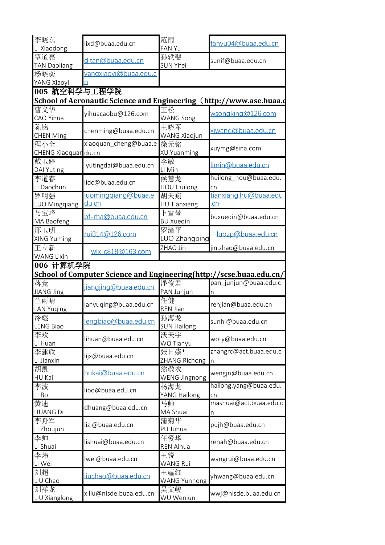| 李晓东<br>LI Xiaodong                                                                                                                                                                                                          | lixd@buaa.edu.cn                                                    | 范雨<br>FAN Yu                        | fanyu04@buaa.edu.cn          |
|-----------------------------------------------------------------------------------------------------------------------------------------------------------------------------------------------------------------------------|---------------------------------------------------------------------|-------------------------------------|------------------------------|
| 覃道亮<br><b>TAN Daoliang</b>                                                                                                                                                                                                  | dltan@buaa.edu.cn                                                   | 孙轶斐<br>SUN Yifei                    | sunif@buaa.edu.cn            |
| 杨晓奕<br>YANG Xiaoyi                                                                                                                                                                                                          | yangxiaoyi@buaa.edu.c<br>n                                          |                                     |                              |
| 005 航空科学与工程学院                                                                                                                                                                                                               |                                                                     |                                     |                              |
|                                                                                                                                                                                                                             | School of Aeronautic Science and Engineering (http://www.ase.buaa.e |                                     |                              |
| 曹义华<br>CAO Yihua                                                                                                                                                                                                            | yihuacaobu@126.com                                                  | 王松<br><b>WANG Song</b>              | wsongking@126.com            |
| 陈铭<br><b>CHEN Ming</b>                                                                                                                                                                                                      | chenming@buaa.edu.cn                                                | 王晓军<br><b>WANG Xiaojun</b>          | xiwang@buaa.edu.cn           |
| 程小全<br>CHENG Xiaoquar du.cn                                                                                                                                                                                                 | xiaoquan cheng@buaa.e                                               | 徐元铭<br>XU Yuanming                  | xuymg@sina.com               |
| 戴玉婷<br><b>DAI Yuting</b>                                                                                                                                                                                                    | yutingdai@buaa.edu.cn                                               | 李敏<br>LI Min                        | limin@buaa.edu.cn            |
| 李道春<br>LI Daochun                                                                                                                                                                                                           | lidc@buaa.edu.cn                                                    | 侯慧龙<br><b>HOU Huilong</b>           | huilong hou@buaa.edu.<br>cn  |
| 罗明强                                                                                                                                                                                                                         | luominggiang@buaa.e                                                 | 胡天翔                                 | tianxiang.hu@buaa.edu        |
| LUO Mingqiang                                                                                                                                                                                                               | du.cn                                                               | <b>HU Tianxiang</b>                 | cn                           |
| 马宝峰<br>MA Baofeng                                                                                                                                                                                                           | bf-ma@buaa.edu.cn                                                   | 下雪琴<br><b>BU Xuegin</b>             | buxueqin@buaa.edu.cn         |
| 邢玉明<br>XING Yuming                                                                                                                                                                                                          | rui314@126.com                                                      | 罗漳平<br>LUO Zhangping                | luozp@buaa.edu.cn            |
|                                                                                                                                                                                                                             |                                                                     |                                     | jin.zhao@buaa.edu.cn         |
| 王立新                                                                                                                                                                                                                         | wlx_c818@163.com                                                    | ZHAO Jin                            |                              |
|                                                                                                                                                                                                                             |                                                                     |                                     |                              |
|                                                                                                                                                                                                                             | School of Computer Science and Engineering(http://scse.buaa.edu.cn/ |                                     |                              |
|                                                                                                                                                                                                                             | ijangjing@buaa.edu.cn                                               | 潘俊君                                 | pan_junjun@buaa.edu.c<br>n   |
|                                                                                                                                                                                                                             | lanyuqing@buaa.edu.cn                                               | PAN Junjun<br>任健<br><b>REN Jian</b> | renjian@buaa.edu.cn          |
|                                                                                                                                                                                                                             | lengbiao@buaa.edu.cn                                                | 孙海龙                                 | sunhl@buaa.edu.cn            |
|                                                                                                                                                                                                                             | lihuan@buaa.edu.cn                                                  | <b>SUN Hailong</b><br>沃天宇           | woty@buaa.edu.cn             |
|                                                                                                                                                                                                                             | lijx@buaa.edu.cn                                                    | WO Tianyu<br>张日崇*                   | zhangrc@act.buaa.edu.c       |
|                                                                                                                                                                                                                             | hukai@buaa.edu.cn                                                   | ZHANG Richong n<br>翁敬农              | wengjn@buaa.edu.cn           |
|                                                                                                                                                                                                                             | libo@buaa.edu.cn                                                    | <b>WENG Jingnong</b><br>杨海龙         | hailong.yang@buaa.edu.       |
|                                                                                                                                                                                                                             | dhuang@buaa.edu.cn                                                  | YANG Hailong<br>马帅<br>MA Shuai      | cn<br>mashuai@act.buaa.edu.c |
| <b>WANG Lixin</b><br>006 计算机学院<br>蒋竞<br>JIANG Jing<br>兰雨晴<br><b>LAN Yuging</b><br>冷彪<br><b>LENG Biao</b><br>李欢<br>LI Huan<br>李建欣<br>LI Jianxin<br>胡凯<br>HU Kai<br>李波<br>LI Bo<br>黄迪<br><b>HUANG Di</b><br>李舟军<br>LI Zhoujun | lizj@buaa.edu.cn                                                    | 蒲菊华<br>PU Juhua                     | n<br>pujh@buaa.edu.cn        |
|                                                                                                                                                                                                                             | lishuai@buaa.edu.cn                                                 | 任爱华<br>REN Aihua                    | renah@buaa.edu.cn            |
| 李帅<br>LI Shuai<br>李炜<br>LI Wei                                                                                                                                                                                              | lwei@buaa.edu.cn                                                    | 王锐<br><b>WANG Rui</b>               | wangrui@buaa.edu.cn          |
| 刘超<br>LIU Chao                                                                                                                                                                                                              | liuchao@buaa.edu.cn                                                 | 王蕴红<br><b>WANG Yunhong</b>          | yhwang@buaa.edu.cn           |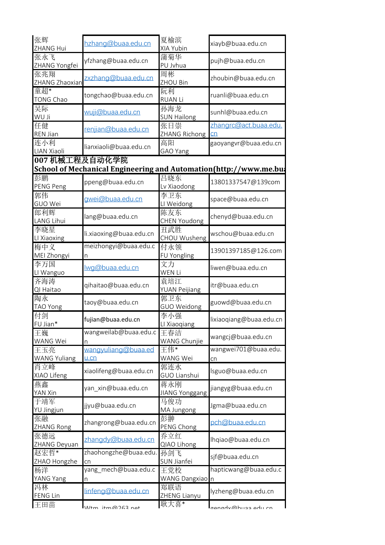| 张辉<br>ZHANG Hui            | hzhang@buaa.edu.cn                                                                  | 夏榆滨<br>XIA Yubin             | xiayb@buaa.edu.cn           |  |
|----------------------------|-------------------------------------------------------------------------------------|------------------------------|-----------------------------|--|
| 张永飞<br>ZHANG Yongfei       | yfzhang@buaa.edu.cn                                                                 | 蒲菊华<br>PU Jvhua              | pujh@buaa.edu.cn            |  |
| 张兆翔<br>ZHANG Zhaoxian      | zxzhang@buaa.edu.cn                                                                 | 周彬<br>ZHOU Bin               | zhoubin@buaa.edu.cn         |  |
| 童超*<br><b>TONG Chao</b>    | tongchao@buaa.edu.cn                                                                | 阮利<br><b>RUAN Li</b>         | ruanli@buaa.edu.cn          |  |
| 吴际<br><b>WU Ji</b>         | wuji@buaa.edu.cn                                                                    | 孙海龙<br><b>SUN Hailong</b>    | sunhl@buaa.edu.cn           |  |
| 任健<br><b>REN Jian</b>      | renjian@buaa.edu.cn                                                                 | 张日崇<br>ZHANG Richong         | zhangrc@act.buaa.edu.<br>cn |  |
| 连小利<br>LIAN Xiaoli         | lianxiaoli@buaa.edu.cn                                                              | 高阳<br>GAO Yang               | gaoyangvr@buaa.edu.cn       |  |
|                            | 007 机械工程及自动化学院<br>School of Mechanical Engineering and Automation(http://www.me.bu/ |                              |                             |  |
| 彭鹏<br>PENG Peng            | ppeng@buaa.edu.cn                                                                   | 吕晓东<br>Lv Xiaodong           | 13801337547@139com          |  |
| 郭伟<br>GUO Wei              | qwei@buaa.edu.cn                                                                    | 李卫东<br>LI Weidong            | space@buaa.edu.cn           |  |
| 郎利辉<br><b>LANG Lihui</b>   | lang@buaa.edu.cn                                                                    | 陈友东<br><b>CHEN Youdong</b>   | chenyd@buaa.edu.cn          |  |
| 李晓星<br>LI Xiaoxing         | li.xiaoxing@buaa.edu.cn                                                             | 丑武胜<br>CHOU Wusheng          | wschou@buaa.edu.cn          |  |
| 梅中义<br>MEI Zhongyi         | meizhongyi@buaa.edu.c                                                               | 付永领<br>FU Yongling           | 13901397185@126.com         |  |
| 李万国<br>LI Wanguo           | wg@buaa.edu.cn                                                                      | 文力<br>WEN Li                 | liwen@buaa.edu.cn           |  |
| 齐海涛<br>QI Haitao           | qihaitao@buaa.edu.cn                                                                | 袁培江<br><b>YUAN Peijiang</b>  | itr@buaa.edu.cn             |  |
| 陶永<br><b>TAO Yong</b>      | taoy@buaa.edu.cn                                                                    | 郭卫东<br>GUO Weidong           | guowd@buaa.edu.cn           |  |
| 付剑<br>FU Jian*             | fujian@buaa.edu.cn                                                                  | 李小强<br>LI Xiaoqiang          | lixiaoqiang@buaa.edu.cn     |  |
| 王巍<br>WANG Wei             | wangweilab@buaa.edu.c<br>n                                                          | 王春洁<br>WANG Chunjie          | wangcj@buaa.edu.cn          |  |
| 王玉亮<br><b>WANG Yuliang</b> | wangyuliang@buaa.ed<br>$u$ .cn                                                      | 王伟*<br><b>WANG Wei</b>       | wangwei701@buaa.edu.<br>cn  |  |
| 肖立峰<br>XIAO Lifeng         | xiaolifeng@buaa.edu.cn                                                              | 郭连水<br>GUO Lianshui          | lsguo@buaa.edu.cn           |  |
| 燕鑫<br>YAN Xin              | yan xin@buaa.edu.cn                                                                 | 蒋永刚<br><b>JIANG Yonggang</b> | jiangyg@buaa.edu.cn         |  |
| 于靖军<br>YU Jingjun          | jjyu@buaa.edu.cn                                                                    | 马俊功<br>MA Jungong            | Jgma@buaa.edu.cn            |  |
| 张融<br><b>ZHANG Rong</b>    | zhangrong@buaa.edu.cn                                                               | 彭翀<br>PENG Chong             | pch@buaa.edu.cn             |  |
| 张德远<br>ZHANG Deyuan        | zhangdy@buaa.edu.cn                                                                 | 乔立红<br>QIAO Lihong           | lhqiao@buaa.edu.cn          |  |
| 赵宏哲*<br>ZHAO Hongzhe       | zhaohongzhe@buaa.edu.<br>cn                                                         | 孙剑飞<br>SUN Jianfei           | sjf@buaa.edu.cn             |  |
| 杨洋<br>YANG Yang            | yang_mech@buaa.edu.c<br>n                                                           | 王党校<br>WANG Dangxiao n       | hapticwang@buaa.edu.c       |  |
| 冯林<br><b>FENG Lin</b>      | linfeng@buaa.edu.cn                                                                 | 郑联语<br>ZHENG Lianyu          | lyzheng@buaa.edu.cn         |  |
| 王田苗                        | 11/tm itm@762 not                                                                   | 耿大喜*                         | anayn@pusa ayu cu           |  |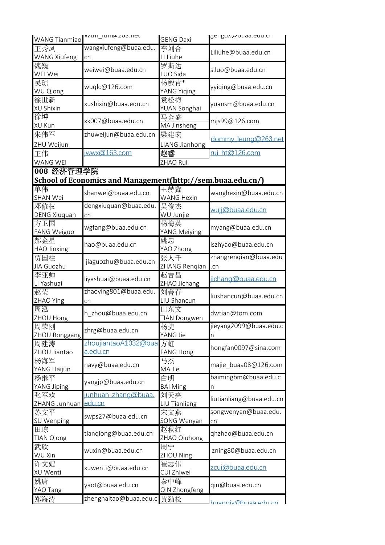| WANG Tianmiao             | עענווו ונוווש בטא.ווכנ                                      | <b>GENG Daxi</b>           | REIIRUXW DUdd.EUU.CII    |
|---------------------------|-------------------------------------------------------------|----------------------------|--------------------------|
| 王秀凤                       | wangxiufeng@buaa.edu.                                       | 李刘合                        | Liliuhe@buaa.edu.cn      |
| <b>WANG Xiufeng</b>       | cn                                                          | LI Liuhe                   |                          |
| 魏巍<br>WEI Wei             | weiwei@buaa.edu.cn                                          | 罗斯达<br>LUO Sida            | s.luo@buaa.edu.cn        |
| 吴琼                        |                                                             | 杨毅青*                       |                          |
| <b>WU Qiong</b>           | wuqlc@126.com                                               | YANG Yiqing                | yyiqing@buaa.edu.cn      |
| 徐世新                       | xushixin@buaa.edu.cn                                        | 袁松梅                        | yuansm@buaa.edu.cn       |
| XU Shixin<br>徐坤           |                                                             | YUAN Songhai               |                          |
| XU Kun                    | xk007@buaa.edu.cn                                           | 马金盛<br>MA Jinsheng         | mjs99@126.com            |
| 朱伟军                       | zhuweijun@buaa.edu.cn                                       | 梁建宏                        | dommy_leung@263.net      |
| ZHU Weijun                |                                                             | LIANG Jianhong             |                          |
| 王伟                        | jwwx@163.com                                                | 赵睿                         | rui ht@126.com           |
| WANG WEI                  |                                                             | ZHAO Rui                   |                          |
| 008 经济管理学院                |                                                             |                            |                          |
| 单伟                        | School of Economics and Management(http://sem.buaa.edu.cn/) | 王赫鑫                        |                          |
| <b>SHAN Wei</b>           | shanwei@buaa.edu.cn                                         | <b>WANG Hexin</b>          | wanghexin@buaa.edu.cn    |
| 邓修权                       | dengxiuquan@buaa.edu.                                       | 吴俊杰                        |                          |
| <b>DENG Xiuquan</b>       | cn                                                          | WU Junjie                  | wujj@buaa.edu.cn         |
| 方卫国                       | wgfang@buaa.edu.cn                                          | 杨梅英                        | myang@buaa.edu.cn        |
| FANG Weiguo               |                                                             | YANG Meiying               |                          |
| 郝金星<br><b>HAO Jinxing</b> | hao@buaa.edu.cn                                             | 姚忠<br>YAO Zhong            | iszhyao@buaa.edu.cn      |
| 贾国柱                       |                                                             | 张人千                        | zhangrenqian@buaa.edu    |
| JIA Guozhu                | jiaguozhu@buaa.edu.cn                                       | ZHANG Rengian              | .cn                      |
| 李亚帅<br>LI Yashuai         | liyashuai@buaa.edu.cn                                       | 赵吉昌<br>ZHAO Jichang        | jichang@buaa.edu.cn      |
| 赵莹                        | zhaoying801@buaa.edu.                                       | 刘善存                        |                          |
| ZHAO Ying                 | cn                                                          | LIU Shancun                | liushancun@buaa.edu.cn   |
| 周泓<br>ZHOU Hong           | h zhou@buaa.edu.cn                                          | 田东文<br><b>TIAN Dongwen</b> | dwtian@tom.com           |
| 周荣刚                       |                                                             | 杨捷                         | jieyang2099@buaa.edu.c   |
| ZHOU Ronggang             | zhrg@buaa.edu.cn                                            | YANG Jie                   | n                        |
| 周建涛                       | zhoujiantaoA1032@bua 方虹                                     |                            | hongfan0097@sina.com     |
| ZHOU Jiantao              | a.edu.cn                                                    | <b>FANG Hong</b>           |                          |
| 杨海军<br>YANG Haijun        | navy@buaa.edu.cn                                            | 马杰<br>MA Jie               | majie buaa08@126.com     |
| 杨继平                       | yangjp@buaa.edu.cn                                          | 白明                         | baimingbm@buaa.edu.c     |
| YANG Jiping               |                                                             | <b>BAI Ming</b>            | $\mathsf{n}$             |
| 张军欢<br>ZHANG Junhuan      | junhuan_zhang@buaa.<br><u>edu.cn</u>                        | 刘天亮<br>LIU Tianliang       | liutianliang@buaa.edu.cn |
| 苏文平                       |                                                             | 宋文燕                        | songwenyan@buaa.edu.     |
| SU Wenping                | swps27@buaa.edu.cn                                          | SONG Wenyan                | cn                       |
| 田琼                        | tianqiong@buaa.edu.cn                                       | 赵秋红                        | qhzhao@buaa.edu.cn       |
| <b>TIAN Qiong</b>         |                                                             | ZHAO Qiuhong               |                          |
| 武欣<br>WU Xin              | wuxin@buaa.edu.cn                                           | 周宁<br>ZHOU Ning            | zning80@buaa.edu.cn      |
| 许文媞                       | xuwenti@buaa.edu.cn                                         | 崔志伟                        | zcui@buaa.edu.cn         |
| XU Wenti                  |                                                             | CUI Zhiwei                 |                          |
| 姚唐<br>YAO Tang            | yaot@buaa.edu.cn                                            | 秦中峰<br>QIN Zhongfeng       | qin@buaa.edu.cn          |
| 郑海涛                       | zhenghaitao@buaa.edu.c 黄劲松                                  |                            |                          |
|                           |                                                             |                            | huangis@huaa edu ch      |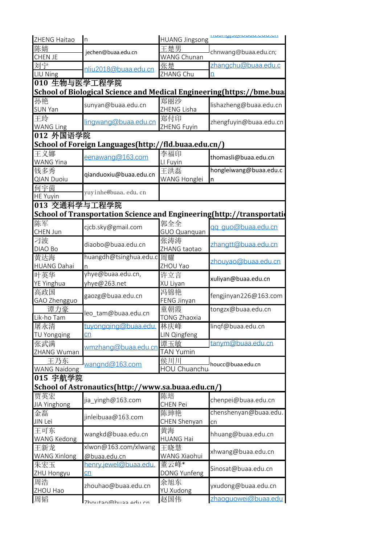| ZHENG Haitao              | $\ln$                                                                  | <b>HUANG Jingsong</b>       |                        |  |  |  |
|---------------------------|------------------------------------------------------------------------|-----------------------------|------------------------|--|--|--|
| 陈婧                        | jechen@buaa.edu.cn                                                     | 王楚男<br>chnwang@buaa.edu.cn; |                        |  |  |  |
| <b>CHEN JE</b>            |                                                                        | WANG Chunan                 |                        |  |  |  |
| 刘宁                        | nliu2018@buaa.edu.cn                                                   | 张楚                          | zhangchu@buaa.edu.c    |  |  |  |
| LIU Ning                  |                                                                        | ZHANG Chu                   |                        |  |  |  |
| 010 生物与医学工程学院             |                                                                        |                             |                        |  |  |  |
|                           | School of Biological Science and Medical Engineering(https://bme.bua   |                             |                        |  |  |  |
| 孙艳<br><b>SUN Yan</b>      | sunyan@buaa.edu.cn                                                     | 郑丽沙<br>ZHENG Lisha          | lishazheng@buaa.edu.cn |  |  |  |
| 王玲                        | lingwang@buaa.edu.cn                                                   | 郑付印                         | zhengfuyin@buaa.edu.cn |  |  |  |
| <b>WANG Ling</b>          |                                                                        | ZHENG Fuyin                 |                        |  |  |  |
| 012 外国语学院                 |                                                                        |                             |                        |  |  |  |
|                           | School of Foreign Languages(http://fld.buaa.edu.cn/)                   |                             |                        |  |  |  |
| 王义娜<br><b>WANG Yina</b>   | eenawang@163.com                                                       | 李福印<br>LI Fuyin             | thomasli@buaa.edu.cn   |  |  |  |
| 钱多秀                       |                                                                        | 王洪磊                         | hongleiwang@buaa.edu.c |  |  |  |
| <b>QIAN Duoiu</b>         | qianduoxiu@buaa.edu.cn                                                 | WANG Honglei                | n                      |  |  |  |
| 何宇茵                       |                                                                        |                             |                        |  |  |  |
| <b>HE Yuyin</b>           | yuyinhe@buaa.edu.cn                                                    |                             |                        |  |  |  |
| 013 交通科学与工程学院             |                                                                        |                             |                        |  |  |  |
|                           | School of Transportation Science and Engineering(http://transportation |                             |                        |  |  |  |
| 陈军                        | cjcb.sky@gmail.com                                                     | 郭全全                         | gg guo@buaa.edu.cn     |  |  |  |
| CHEN Jun                  |                                                                        | <b>GUO Quanquan</b>         |                        |  |  |  |
| 刁波<br>DIAO Bo             | diaobo@buaa.edu.cn                                                     | 张涛涛<br>ZHANG taotao         | zhangtt@buaa.edu.cn    |  |  |  |
| 黄达海                       | huangdh@tsinghua.edu.c                                                 | 周耀                          |                        |  |  |  |
| <b>HUANG Dahai</b>        | n                                                                      | ZHOU Yao                    | zhouyao@buaa.edu.cn    |  |  |  |
| 叶英华                       | yhye@buaa.edu.cn,                                                      | 许立言                         |                        |  |  |  |
| <b>YE Yinghua</b>         | yhye@263.net                                                           | XU Liyan                    | xuliyan@buaa.edu.cn    |  |  |  |
| 高政国                       | 冯锦艳<br>gaozg@buaa.edu.cn                                               |                             | fengjinyan226@163.com  |  |  |  |
| GAO Zhengguo              |                                                                        | FENG Jinyan                 |                        |  |  |  |
| 谭力豪                       | leo_tam@buaa.edu.cn                                                    | 童朝霞                         | tongzx@buaa.edu.cn     |  |  |  |
| Lik-ho Tam                |                                                                        | TONG Zhaoxia                | lingf@buaa.edu.cn      |  |  |  |
| 屠永清                       | tuyongging@buaa.edu.                                                   | 林庆峰                         |                        |  |  |  |
| <b>TU Yongqing</b>        | $\overline{\text{cn}}$                                                 | LIN Qingfeng                |                        |  |  |  |
| 张武满<br>ZHANG Wuman        | wmzhang@buaa.edu.cn                                                    | 谭玉敏<br><b>TAN Yumin</b>     | tanym@buaa.edu.cn      |  |  |  |
| 王乃东                       |                                                                        | 侯川川                         |                        |  |  |  |
| <b>WANG Naidong</b>       | wangnd@163.com                                                         | HOU Chuanchu                | houcc@buaa.edu.cn      |  |  |  |
| 015 宇航学院                  |                                                                        |                             |                        |  |  |  |
|                           | School of Astronautics(http://www.sa.buaa.edu.cn/)                     |                             |                        |  |  |  |
| 贾英宏                       |                                                                        | 陈培                          |                        |  |  |  |
| JIA Yinghong              | jia yingh@163.com                                                      | <b>CHEN Pei</b>             | chenpei@buaa.edu.cn    |  |  |  |
| 金磊                        |                                                                        | 陈珅艳                         | chenshenyan@buaa.edu.  |  |  |  |
| JIN Lei                   | jinleibuaa@163.com                                                     | CHEN Shenyan                | cn                     |  |  |  |
| 王可东<br><b>WANG Kedong</b> | wangkd@buaa.edu.cn                                                     | 黄海<br><b>HUANG Hai</b>      | hhuang@buaa.edu.cn     |  |  |  |
| 王新龙                       | xlwon@163.com/xlwang                                                   | 王晓慧                         |                        |  |  |  |
| <b>WANG Xinlong</b>       | @buaa.edu.cn                                                           | WANG Xiaohui                | xhwang@buaa.edu.cn     |  |  |  |
| 朱宏玉                       | henry.jewel@buaa.edu.                                                  | 董云峰*                        |                        |  |  |  |
| ZHU Hongyu                | $\overline{\text{cn}}$                                                 | DONG Yunfeng                | Sinosat@buaa.edu.cn    |  |  |  |
| 周浩<br>ZHOU Hao            | zhouhao@buaa.edu.cn                                                    | 余旭东<br>YU Xudong            | yxudong@buaa.edu.cn    |  |  |  |
| 周韬                        |                                                                        | 赵国伟                         | zhaoguowei@buaa.edu    |  |  |  |
|                           | 7houtan@huan adu ch                                                    |                             |                        |  |  |  |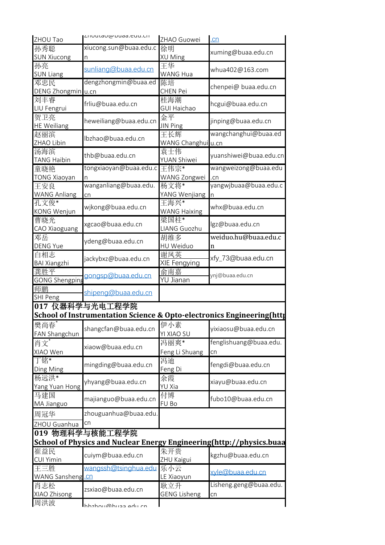| ZHOU Tao                     | Liluutauwwuda.cuu.cii                                                            | ZHAO Guowei                | cn                           |
|------------------------------|----------------------------------------------------------------------------------|----------------------------|------------------------------|
| 孙秀聪                          | xiucong.sun@buaa.edu.c                                                           | 徐明                         | xuming@buaa.edu.cn           |
| <b>SUN Xiucong</b><br>孙亮     | n                                                                                | XU Ming<br>王华              |                              |
| <b>SUN Liang</b>             | sunliang@buaa.edu.cn                                                             | WANG Hua                   | whua402@163.com              |
| 邓忠民                          | dengzhongmin@buaa.ed                                                             | 陈培                         | chenpei@ buaa.edu.cn         |
| DENG Zhongmin u.cn           |                                                                                  | <b>CHEN Pei</b><br>桂海潮     |                              |
| 刘丰睿<br>LIU Fengrui           | frliu@buaa.edu.cn                                                                | GUI Haichao                | hcgui@buaa.edu.cn            |
| 贺卫亮<br><b>HE Weiliang</b>    | heweiliang@buaa.edu.cn                                                           | 金平<br><b>JIN Ping</b>      | jinping@buaa.edu.cn          |
| 赵丽滨<br>ZHAO Libin            | lbzhao@buaa.edu.cn                                                               | 王长辉<br>WANG Changhui u.cn  | wangchanghui@buaa.ed         |
| 汤海滨<br><b>TANG Haibin</b>    | thb@buaa.edu.cn                                                                  | 袁士伟<br>YUAN Shiwei         | yuanshiwei@buaa.edu.cn       |
| 童晓艳                          | tongxiaoyan@buaa.edu.c                                                           | 王伟宗*                       | wangweizong@buaa.edu         |
| <b>TONG Xiaoyan</b>          | wanganliang@buaa.edu.                                                            | WANG Zongwei<br>杨文将*       | .cn<br>yangwjbuaa@buaa.edu.c |
| 王安良<br><b>WANG Anliang</b>   | cn                                                                               | YANG Wenjiang n            |                              |
| 孔文俊*                         |                                                                                  | 王海兴*                       |                              |
| <b>KONG Wenjun</b>           | wjkong@buaa.edu.cn                                                               | <b>WANG Haixing</b>        | whx@buaa.edu.cn              |
| 曹晓光<br>CAO Xiaoguang         | xgcao@buaa.edu.cn                                                                | 梁国柱*<br>LIANG Guozhu       | lgz@buaa.edu.cn              |
| 邓岳<br><b>DENG Yue</b>        | ydeng@buaa.edu.cn                                                                | 胡维多<br>HU Weiduo           | weiduo.hu@buaa.edu.c<br>n    |
| 白相志<br><b>BAI Xiangzhi</b>   | jackybxz@buaa.edu.cn                                                             | 谢凤英<br>XIE Fengying        | xfy_73@buaa.edu.cn           |
| 龚胜平<br><b>GONG Shengping</b> | gongsp@buaa.edu.cn                                                               | 俞南嘉<br>YU Jianan           | ynj@buaa.edu.cn              |
| 师鹏<br><b>SHI Peng</b>        | shipeng@buaa.edu.cn                                                              |                            |                              |
|                              | 017 仪器科学与光电工程学院                                                                  |                            |                              |
|                              | <b>School of Instrumentation Science &amp; Opto-electronics Engineering(http</b> |                            |                              |
| 樊尚春*<br>FAN Shangchun        | shangcfan@buaa.edu.cn                                                            | 伊小素<br><b>YI XIAO SU</b>   | yixiaosu@buaa.edu.cn         |
| 肖文*                          | xiaow@buaa.edu.cn                                                                | 冯丽爽*                       | fenglishuang@buaa.edu.       |
| XIAO Wen<br>丁铭*              |                                                                                  | Feng Li Shuang<br>冯迪       | cn                           |
| Ding Ming                    | mingding@buaa.edu.cn                                                             | Feng Di                    | fengdi@buaa.edu.cn           |
| 杨远洪*<br>Yang Yuan Hong       | yhyang@buaa.edu.cn                                                               | 余霞<br>YU Xia               | xiayu@buaa.edu.cn            |
| 马建国<br>MA Jianguo            | majianguo@buaa.edu.cn                                                            | 付博<br>FU Bo                | fubo10@buaa.edu.cn           |
| 周冠华                          | zhouguanhua@buaa.edu.                                                            |                            |                              |
| ZHOU Guanhua                 | cn                                                                               |                            |                              |
|                              | 019 物理科学与核能工程学院                                                                  |                            |                              |
|                              | School of Physics and Nuclear Energy Engineering (http://physics.buaa            |                            |                              |
| 崔益民<br><b>CUI Yimin</b>      | cuiym@buaa.edu.cn                                                                | 朱开贵<br>ZHU Kaigui          | kgzhu@buaa.edu.cn            |
| 王三胜                          | wangssh@tsinghua.edu                                                             | 乐小云                        | vle@buaa.edu.cn              |
| WANG Sansheng.cn             |                                                                                  | LE Xiaoyun                 |                              |
| 肖志松<br>XIAO Zhisong          | zsxiao@buaa.edu.cn                                                               | 耿立升<br><b>GENG Lisheng</b> | Lisheng.geng@buaa.edu.<br>cn |
| 周洪波                          | hhzhou@hunn adu ch                                                               |                            |                              |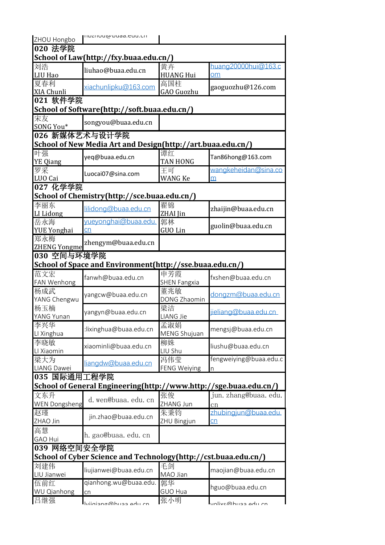| ZHOU Hongbo                            | mo.buu-bbuuguusuu                                                 |                     |                        |  |  |  |
|----------------------------------------|-------------------------------------------------------------------|---------------------|------------------------|--|--|--|
| 020 法学院                                |                                                                   |                     |                        |  |  |  |
| School of Law(http://fxy.buaa.edu.cn/) |                                                                   |                     |                        |  |  |  |
| 刘浩                                     | liuhao@buaa.edu.cn                                                | 黄卉                  | huang20000hui@163.c    |  |  |  |
| <b>LIU Hao</b>                         |                                                                   | <b>HUANG Hui</b>    | $\Omega$ m             |  |  |  |
| 夏春利                                    | xiachunlipku@163.com                                              | 高国柱                 | gaoguozhu@126.com      |  |  |  |
| XIA Chunli                             |                                                                   | GAO Guozhu          |                        |  |  |  |
| 021 软件学院                               |                                                                   |                     |                        |  |  |  |
|                                        | School of Software(http://soft.buaa.edu.cn/)                      |                     |                        |  |  |  |
| 宋友<br>SONG You*                        | songyou@buaa.edu.cn                                               |                     |                        |  |  |  |
| 026 新媒体艺术与设计学院                         |                                                                   |                     |                        |  |  |  |
|                                        | School of New Media Art and Design(http://art.buaa.edu.cn/)       |                     |                        |  |  |  |
| 叶强                                     |                                                                   | 谭红                  |                        |  |  |  |
| <b>YE</b> Qiang                        | yeq@buaa.edu.cn                                                   | <b>TAN HONG</b>     | Tan86hong@163.com      |  |  |  |
| 罗采                                     | Luocai07@sina.com                                                 | 王可                  | wangkeheidan@sina.co   |  |  |  |
| LUO Cai                                |                                                                   | <b>WANG Ke</b>      | m                      |  |  |  |
| 027 化学学院                               |                                                                   |                     |                        |  |  |  |
|                                        | School of Chemistry(http://sce.buaa.edu.cn/)                      |                     |                        |  |  |  |
| 李丽东<br>LI Lidong                       | lilidong@buaa.edu.cn                                              | 翟锦<br>ZHAI Jin      | zhaijin@buaa.edu.cn    |  |  |  |
| 岳永海                                    | yueyonghai@buaa.edu.                                              | 郭林                  |                        |  |  |  |
| <b>YUE Yonghai</b>                     | cn                                                                | <b>GUO Lin</b>      | guolin@buaa.edu.cn     |  |  |  |
| 郑永梅                                    | zhengym@buaa.edu.cn                                               |                     |                        |  |  |  |
| <b>ZHENG Yongme</b>                    |                                                                   |                     |                        |  |  |  |
| 030 空间与环境学院                            |                                                                   |                     |                        |  |  |  |
|                                        | School of Space and Environment(http://sse.buaa.edu.cn/)          |                     |                        |  |  |  |
| 范文宏                                    | fanwh@buaa.edu.cn                                                 | 申芳霞                 | fxshen@buaa.edu.cn     |  |  |  |
| FAN Wenhong                            |                                                                   | <b>SHEN Fangxia</b> |                        |  |  |  |
| 杨成武                                    | yangcw@buaa.edu.cn                                                | 董兆敏                 | dongzm@buaa.edu.cn     |  |  |  |
| YANG Chengwu<br>杨玉楠                    |                                                                   | DONG Zhaomin<br>梁洁  |                        |  |  |  |
| YANG Yunan                             | yangyn@buaa.edu.cn                                                | LIANG Jie           | jieliang@buaa.edu.cn   |  |  |  |
| 李兴华                                    |                                                                   | 孟淑娟                 |                        |  |  |  |
| LI Xinghua                             | :lixinghua@buaa.edu.cn                                            | MENG Shujuan        | mengsj@buaa.edu.cn     |  |  |  |
| 李晓敏                                    |                                                                   | 柳姝                  |                        |  |  |  |
| LI Xiaomin                             | xiaominli@buaa.edu.cn                                             | LIU Shu             | liushu@buaa.edu.cn     |  |  |  |
| 梁大为                                    |                                                                   | 冯伟莹                 | fengweiying@buaa.edu.c |  |  |  |
| LIANG Dawei                            | liangdw@buaa.edu.cn                                               | <b>FENG Weiying</b> | n                      |  |  |  |
| 035 国际通用工程学院                           |                                                                   |                     |                        |  |  |  |
|                                        | School of General Engineering(http://www.http://sge.buaa.edu.cn/) |                     |                        |  |  |  |
| 文东升                                    |                                                                   | 张俊                  | jun. zhang@buaa. edu.  |  |  |  |
| <b>WEN Dongsheng</b>                   | d. wen@buaa. edu. cn                                              | ZHANG Jun           | cn                     |  |  |  |
| 赵瑾                                     | jin.zhao@buaa.edu.cn                                              | 朱秉钧                 | zhubingjun@buaa.edu.   |  |  |  |
| ZHAO Jin                               |                                                                   | ZHU Bingjun         | cn                     |  |  |  |
| 高慧                                     | h. gao@buaa. edu. cn                                              |                     |                        |  |  |  |
| <b>GAO Hui</b>                         |                                                                   |                     |                        |  |  |  |
| 039 网络空间安全学院                           |                                                                   |                     |                        |  |  |  |
|                                        | School of Cyber Science and Technology (http://cst.buaa.edu.cn/)  |                     |                        |  |  |  |
| 刘建伟                                    | liujianwei@buaa.edu.cn                                            | 毛剑                  | maojian@buaa.edu.cn    |  |  |  |
| LIU Jianwei                            |                                                                   | MAO Jian            |                        |  |  |  |
| 伍前红                                    | qianhong.wu@buaa.edu.                                             | 郭华                  | hguo@buaa.edu.cn       |  |  |  |
| WU Qianhong                            | cn                                                                | <b>GUO Hua</b>      |                        |  |  |  |
| 吕继强                                    | hijiniang@huaa adu cn                                             | 张小明                 | volive@huaa.odu.cn     |  |  |  |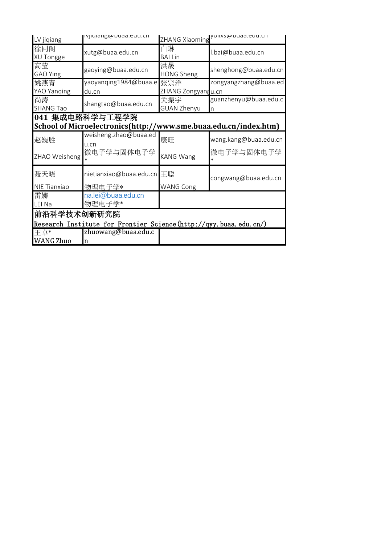| LV jiqiang       | ivjiyidiikwww.cii                                                         |                         | ZHANG Xiaoming yunxswuudd.euu.cn |
|------------------|---------------------------------------------------------------------------|-------------------------|----------------------------------|
| 徐同阁<br>XU Tongge | xutg@buaa.edu.cn                                                          | 白琳<br><b>BAI Lin</b>    | l.bai@buaa.edu.cn                |
| 高莹<br>GAO Ying   | gaoying@buaa.edu.cn                                                       | 洪晟<br><b>HONG Sheng</b> | shenghong@buaa.edu.cn            |
| 姚燕青              | yaoyanqing1984@buaa.e 张宗洋                                                 |                         | zongyangzhang@buaa.ed            |
| YAO Yanqing      | du.cn                                                                     | ZHANG Zongyangu.cn      |                                  |
| 尚涛               | shangtao@buaa.edu.cn                                                      | 关振宇                     | guanzhenyu@buaa.edu.c            |
| <b>SHANG Tao</b> |                                                                           | <b>GUAN Zhenyu</b>      | $\overline{\mathsf{n}}$          |
|                  | 041 集成电路科学与工程学院                                                           |                         |                                  |
|                  | School of Microelectronics(http://www.sme.buaa.edu.cn/index.htm)          |                         |                                  |
| 赵巍胜              | weisheng.zhao@buaa.ed                                                     | 康旺                      | wang.kang@buaa.edu.cn            |
|                  | U.Cn                                                                      |                         |                                  |
| ZHAO Weisheng    | 微电子学与固体电子学                                                                | <b>KANG Wang</b>        | 微电子学与固体电子学                       |
| 聂天晓              | nietianxiao@buaa.edu.cn 王聪                                                |                         | congwang@buaa.edu.cn             |
| NIE Tianxiao     | 物理电子学*                                                                    | <b>WANG Cong</b>        |                                  |
| 雷娜               | na.lei@buaa.edu.cn                                                        |                         |                                  |
| LEI Na           | 物理电子学*                                                                    |                         |                                  |
| 前沿科学技术创新研究院      |                                                                           |                         |                                  |
|                  | Research Institute for F <u>rontier Science(http://qyy.buaa.edu.cn/</u> ) |                         |                                  |
| 干卓*              | zhuowang@buaa.edu.c                                                       |                         |                                  |
| <b>WANG Zhuo</b> | n                                                                         |                         |                                  |